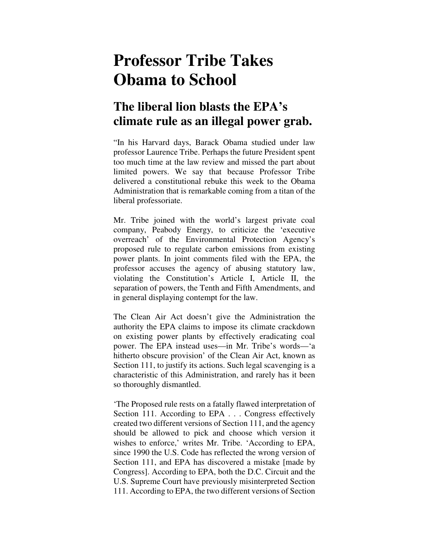## **Professor Tribe Takes Obama to School**

## **The liberal lion blasts the EPA's climate rule as an illegal power grab.**

"In his Harvard days, Barack Obama studied under law professor Laurence Tribe. Perhaps the future President spent too much time at the law review and missed the part about limited powers. We say that because Professor Tribe delivered a constitutional rebuke this week to the Obama Administration that is remarkable coming from a titan of the liberal professoriate.

Mr. Tribe joined with the world's largest private coal company, Peabody Energy, to criticize the 'executive overreach' of the Environmental Protection Agency's proposed rule to regulate carbon emissions from existing power plants. In joint comments filed with the EPA, the professor accuses the agency of abusing statutory law, violating the Constitution's Article I, Article II, the separation of powers, the Tenth and Fifth Amendments, and in general displaying contempt for the law.

The Clean Air Act doesn't give the Administration the authority the EPA claims to impose its climate crackdown on existing power plants by effectively eradicating coal power. The EPA instead uses—in Mr. Tribe's words—'a hitherto obscure provision' of the Clean Air Act, known as Section 111, to justify its actions. Such legal scavenging is a characteristic of this Administration, and rarely has it been so thoroughly dismantled.

'The Proposed rule rests on a fatally flawed interpretation of Section 111. According to EPA . . . Congress effectively created two different versions of Section 111, and the agency should be allowed to pick and choose which version it wishes to enforce,' writes Mr. Tribe. 'According to EPA, since 1990 the U.S. Code has reflected the wrong version of Section 111, and EPA has discovered a mistake [made by Congress]. According to EPA, both the D.C. Circuit and the U.S. Supreme Court have previously misinterpreted Section 111. According to EPA, the two different versions of Section